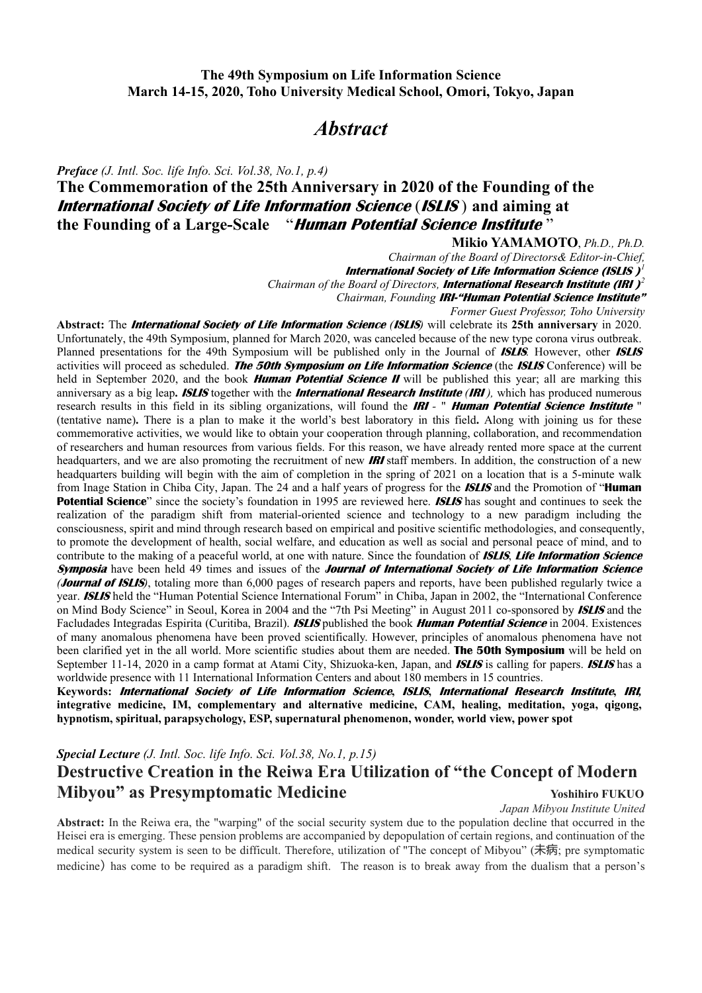## **The 49th Symposium on Life Information Science March 14-15, 2020, Toho University Medical School, Omori, Tokyo, Japan**

# *Abstract*

*Preface (J. Intl. Soc. life Info. Sci. Vol.38, No.1, p.4)*

# **The Commemoration of the 25th Anniversary in 2020 of the Founding of the International Society of Life Information Science** (**ISLIS** ) **and aiming at the Founding of a Large-Scale** "**Human Potential Science Institute** "

*Chairman of the Board of Directors& Editor-in-Chief,* 

**International Society of Life Information Science (ISLIS )***<sup>1</sup>*

*Chairman of the Board of Directors,* **International Research Institute (IRI )***<sup>2</sup>*

*Chairman, Founding* **IRI-"Human Potential Science Institute"**

*Former Guest Professor, Toho University*

**Abstract:** The **International Society of Life Information Science** *(***ISLIS***)* will celebrate its **25th anniversary** in 2020. Unfortunately, the 49th Symposium, planned for March 2020, was canceled because of the new type corona virus outbreak. Planned presentations for the 49th Symposium will be published only in the Journal of **ISLIS***.* However, other **ISLIS** activities will proceed as scheduled. **The 50th Symposium on Life Information Science** (the **ISLIS** Conference) will be held in September 2020, and the book **Human Potential Science II** will be published this year; all are marking this anniversary as a big leap**. ISLIS** together with the **International Research Institute** *(***IRI** *),* which has produced numerous research results in this field in its sibling organizations, will found the **IRI** *-* " **Human Potential Science Institute** " (tentative name)**.** There is a plan to make it the world's best laboratory in this field**.** Along with joining us for these commemorative activities, we would like to obtain your cooperation through planning, collaboration, and recommendation of researchers and human resources from various fields. For this reason, we have already rented more space at the current headquarters, and we are also promoting the recruitment of new **IRI** staff members. In addition, the construction of a new headquarters building will begin with the aim of completion in the spring of 2021 on a location that is a 5-minute walk from Inage Station in Chiba City, Japan. The 24 and a half years of progress for the **ISLIS** and the Promotion of "**Human Potential Science**" since the society's foundation in 1995 are reviewed here. **ISLIS** has sought and continues to seek the realization of the paradigm shift from material-oriented science and technology to a new paradigm including the consciousness, spirit and mind through research based on empirical and positive scientific methodologies, and consequently, to promote the development of health, social welfare, and education as well as social and personal peace of mind, and to contribute to the making of a peaceful world, at one with nature. Since the foundation of **ISLIS**, **Life Information Science Symposia** have been held 49 times and issues of the **Journal of International Society of Life Information Science** *(***Journal of ISLIS***)*, totaling more than 6,000 pages of research papers and reports, have been published regularly twice a year. **ISLIS** held the "Human Potential Science International Forum" in Chiba, Japan in 2002, the "International Conference on Mind Body Science" in Seoul, Korea in 2004 and the "7th Psi Meeting" in August 2011 co-sponsored by **ISLIS** and the Facludades Integradas Espirita (Curitiba, Brazil). **ISLIS** published the book **Human Potential Science** in 2004. Existences of many anomalous phenomena have been proved scientifically. However, principles of anomalous phenomena have not been clarified yet in the all world. More scientific studies about them are needed. **The 50th Symposium** will be held on September 11-14, 2020 in a camp format at Atami City, Shizuoka-ken, Japan, and **ISLIS** is calling for papers. **ISLIS** has a worldwide presence with 11 International Information Centers and about 180 members in 15 countries.

**Keywords: International Society of Life Information Science, ISLIS, International Research Institute, IRI***,* **integrative medicine, IM, complementary and alternative medicine, CAM, healing, meditation, yoga, qigong, hypnotism, spiritual, parapsychology, ESP, supernatural phenomenon, wonder, world view, power spot** 

## *Special Lecture (J. Intl. Soc. life Info. Sci. Vol.38, No.1, p.15)*

# **Destructive Creation in the Reiwa Era Utilization of "the Concept of Modern Mibyou" as Presymptomatic Medicine Medicine Medicine Medicine Property Associates** Voshihiro FUKUO

*Japan Mibyou Institute United*

**Abstract:** In the Reiwa era, the "warping" of the social security system due to the population decline that occurred in the Heisei era is emerging. These pension problems are accompanied by depopulation of certain regions, and continuation of the medical security system is seen to be difficult. Therefore, utilization of "The concept of Mibyou" (未病; pre symptomatic medicine) has come to be required as a paradigm shift. The reason is to break away from the dualism that a person's

**Mikio YAMAMOTO**, *Ph.D., Ph.D.*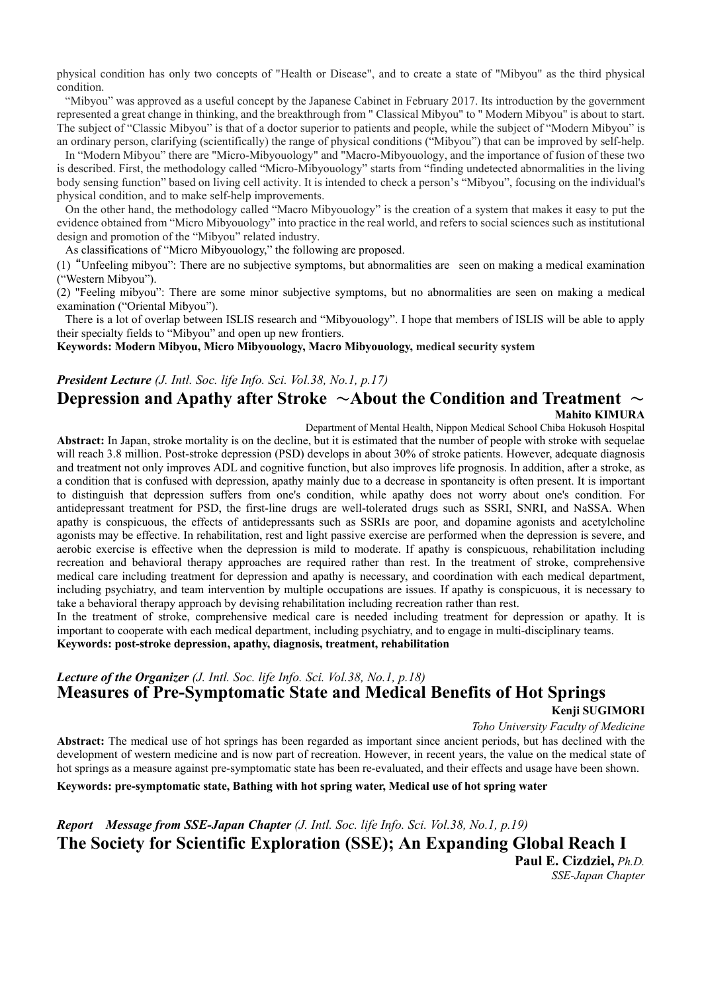physical condition has only two concepts of "Health or Disease", and to create a state of "Mibyou" as the third physical condition.

"Mibyou" was approved as a useful concept by the Japanese Cabinet in February 2017. Its introduction by the government represented a great change in thinking, and the breakthrough from " Classical Mibyou" to " Modern Mibyou" is about to start. The subject of "Classic Mibyou" is that of a doctor superior to patients and people, while the subject of "Modern Mibyou" is an ordinary person, clarifying (scientifically) the range of physical conditions ("Mibyou") that can be improved by self-help.

In "Modern Mibyou" there are "Micro-Mibyouology" and "Macro-Mibyouology, and the importance of fusion of these two is described. First, the methodology called "Micro-Mibyouology" starts from "finding undetected abnormalities in the living body sensing function" based on living cell activity. It is intended to check a person's "Mibyou", focusing on the individual's physical condition, and to make self-help improvements.

On the other hand, the methodology called "Macro Mibyouology" is the creation of a system that makes it easy to put the evidence obtained from "Micro Mibyouology" into practice in the real world, and refers to social sciences such as institutional design and promotion of the "Mibyou" related industry.

As classifications of "Micro Mibyouology," the following are proposed.

(1) "Unfeeling mibyou": There are no subjective symptoms, but abnormalities are seen on making a medical examination ("Western Mibyou").

(2) "Feeling mibyou": There are some minor subjective symptoms, but no abnormalities are seen on making a medical examination ("Oriental Mibyou").

There is a lot of overlap between ISLIS research and "Mibyouology". I hope that members of ISLIS will be able to apply their specialty fields to "Mibyou" and open up new frontiers.

**Keywords: Modern Mibyou, Micro Mibyouology, Macro Mibyouology, medical security system** 

## *President Lecture (J. Intl. Soc. life Info. Sci. Vol.38, No.1, p.17)* **Depression and Apathy after Stroke** ~**About the Condition and Treatment** ~ **Mahito KIMURA**

Department of Mental Health, Nippon Medical School Chiba Hokusoh Hospital

**Abstract:** In Japan, stroke mortality is on the decline, but it is estimated that the number of people with stroke with sequelae will reach 3.8 million. Post-stroke depression (PSD) develops in about 30% of stroke patients. However, adequate diagnosis and treatment not only improves ADL and cognitive function, but also improves life prognosis. In addition, after a stroke, as a condition that is confused with depression, apathy mainly due to a decrease in spontaneity is often present. It is important to distinguish that depression suffers from one's condition, while apathy does not worry about one's condition. For antidepressant treatment for PSD, the first-line drugs are well-tolerated drugs such as SSRI, SNRI, and NaSSA. When apathy is conspicuous, the effects of antidepressants such as SSRIs are poor, and dopamine agonists and acetylcholine agonists may be effective. In rehabilitation, rest and light passive exercise are performed when the depression is severe, and aerobic exercise is effective when the depression is mild to moderate. If apathy is conspicuous, rehabilitation including recreation and behavioral therapy approaches are required rather than rest. In the treatment of stroke, comprehensive medical care including treatment for depression and apathy is necessary, and coordination with each medical department, including psychiatry, and team intervention by multiple occupations are issues. If apathy is conspicuous, it is necessary to take a behavioral therapy approach by devising rehabilitation including recreation rather than rest.

In the treatment of stroke, comprehensive medical care is needed including treatment for depression or apathy. It is important to cooperate with each medical department, including psychiatry, and to engage in multi-disciplinary teams. **Keywords: post-stroke depression, apathy, diagnosis, treatment, rehabilitation** 

## *Lecture of the Organizer (J. Intl. Soc. life Info. Sci. Vol.38, No.1, p.18)* **Measures of Pre-Symptomatic State and Medical Benefits of Hot Springs**

#### **Kenji SUGIMORI**

 *Toho University Faculty of Medicine* 

**Abstract:** The medical use of hot springs has been regarded as important since ancient periods, but has declined with the development of western medicine and is now part of recreation. However, in recent years, the value on the medical state of hot springs as a measure against pre-symptomatic state has been re-evaluated, and their effects and usage have been shown.

**Keywords: pre-symptomatic state, Bathing with hot spring water, Medical use of hot spring water** 

*Report Message from SSE-Japan Chapter (J. Intl. Soc. life Info. Sci. Vol.38, No.1, p.19)* **The Society for Scientific Exploration (SSE); An Expanding Global Reach Ⅰ Paul E. Cizdziel,** *Ph.D.*

*SSE-Japan Chapter*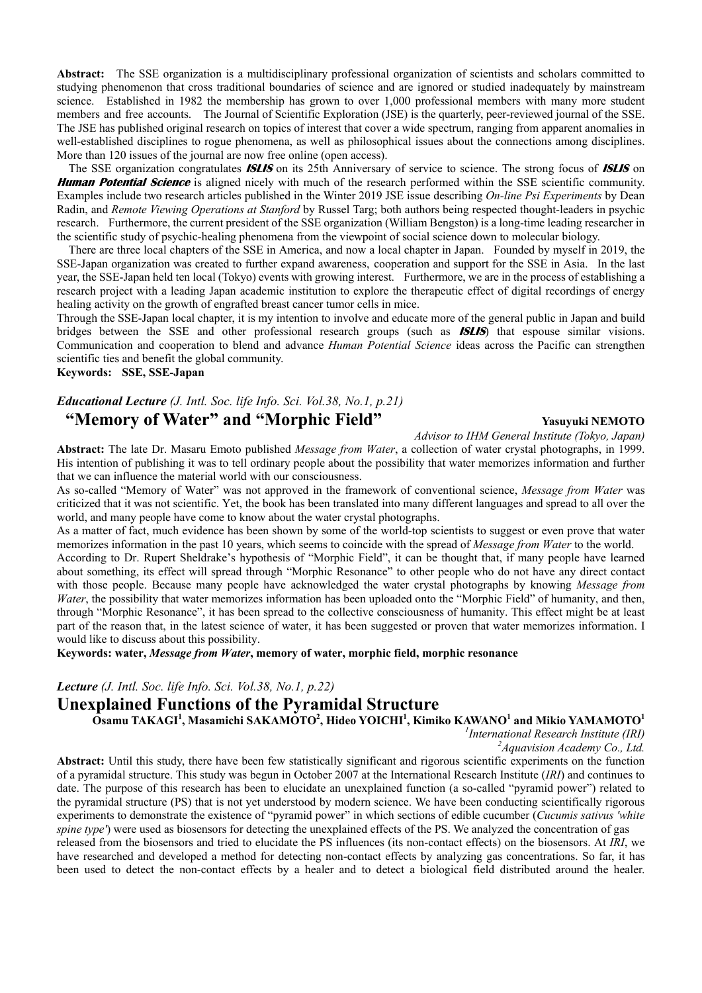**Abstract:** The SSE organization is a multidisciplinary professional organization of scientists and scholars committed to studying phenomenon that cross traditional boundaries of science and are ignored or studied inadequately by mainstream science. Established in 1982 the membership has grown to over 1,000 professional members with many more student members and free accounts. The Journal of Scientific Exploration (JSE) is the quarterly, peer-reviewed journal of the SSE. The JSE has published original research on topics of interest that cover a wide spectrum, ranging from apparent anomalies in well-established disciplines to rogue phenomena, as well as philosophical issues about the connections among disciplines. More than 120 issues of the journal are now free online (open access).

The SSE organization congratulates **ISLIS** on its 25th Anniversary of service to science. The strong focus of **ISLIS** on **Human Potential Science** is aligned nicely with much of the research performed within the SSE scientific community. Examples include two research articles published in the Winter 2019 JSE issue describing *On-line Psi Experiments* by Dean Radin, and *Remote Viewing Operations at Stanford* by Russel Targ; both authors being respected thought-leaders in psychic research. Furthermore, the current president of the SSE organization (William Bengston) is a long-time leading researcher in the scientific study of psychic-healing phenomena from the viewpoint of social science down to molecular biology.

There are three local chapters of the SSE in America, and now a local chapter in Japan. Founded by myself in 2019, the SSE-Japan organization was created to further expand awareness, cooperation and support for the SSE in Asia. In the last year, the SSE-Japan held ten local (Tokyo) events with growing interest. Furthermore, we are in the process of establishing a research project with a leading Japan academic institution to explore the therapeutic effect of digital recordings of energy healing activity on the growth of engrafted breast cancer tumor cells in mice.

Through the SSE-Japan local chapter, it is my intention to involve and educate more of the general public in Japan and build bridges between the SSE and other professional research groups (such as **ISLIS**) that espouse similar visions. Communication and cooperation to blend and advance *Human Potential Science* ideas across the Pacific can strengthen scientific ties and benefit the global community.

**Keywords: SSE, SSE-Japan**

## *Educational Lecture (J. Intl. Soc. life Info. Sci. Vol.38, No.1, p.21)* **"Memory of Water" and "Morphic Field"** Yasuvuki NEMOTO

*Advisor to IHM General Institute (Tokyo, Japan)* 

**Abstract:** The late Dr. Masaru Emoto published *Message from Water*, a collection of water crystal photographs, in 1999. His intention of publishing it was to tell ordinary people about the possibility that water memorizes information and further that we can influence the material world with our consciousness.

As so-called "Memory of Water" was not approved in the framework of conventional science, *Message from Water* was criticized that it was not scientific. Yet, the book has been translated into many different languages and spread to all over the world, and many people have come to know about the water crystal photographs.

As a matter of fact, much evidence has been shown by some of the world-top scientists to suggest or even prove that water memorizes information in the past 10 years, which seems to coincide with the spread of *Message from Water* to the world.

According to Dr. Rupert Sheldrake's hypothesis of "Morphic Field", it can be thought that, if many people have learned about something, its effect will spread through "Morphic Resonance" to other people who do not have any direct contact with those people. Because many people have acknowledged the water crystal photographs by knowing *Message from Water*, the possibility that water memorizes information has been uploaded onto the "Morphic Field" of humanity, and then, through "Morphic Resonance", it has been spread to the collective consciousness of humanity. This effect might be at least part of the reason that, in the latest science of water, it has been suggested or proven that water memorizes information. I would like to discuss about this possibility.

**Keywords: water,** *Message from Water***, memory of water, morphic field, morphic resonance** 

*Lecture (J. Intl. Soc. life Info. Sci. Vol.38, No.1, p.22)*

## **Unexplained Functions of the Pyramidal Structure**

 $\tilde{\textbf{O}}$ samu TAKAGI<sup>1</sup>, Masamichi SAKAMOTO<sup>2</sup>, Hideo YOICHI<sup>1</sup>, Kimiko KAWANO<sup>1</sup> and Mikio YAMAMOTO<sup>1</sup>

*1 International Research Institute (IRI) 2*

*Aquavision Academy Co., Ltd.*

**Abstract:** Until this study, there have been few statistically significant and rigorous scientific experiments on the function of a pyramidal structure. This study was begun in October 2007 at the International Research Institute (*IRI*) and continues to date. The purpose of this research has been to elucidate an unexplained function (a so-called "pyramid power") related to the pyramidal structure (PS) that is not yet understood by modern science. We have been conducting scientifically rigorous experiments to demonstrate the existence of "pyramid power" in which sections of edible cucumber (*Cucumis sativus 'white spine type'*) were used as biosensors for detecting the unexplained effects of the PS. We analyzed the concentration of gas released from the biosensors and tried to elucidate the PS influences (its non-contact effects) on the biosensors. At *IRI*, we have researched and developed a method for detecting non-contact effects by analyzing gas concentrations. So far, it has

been used to detect the non-contact effects by a healer and to detect a biological field distributed around the healer.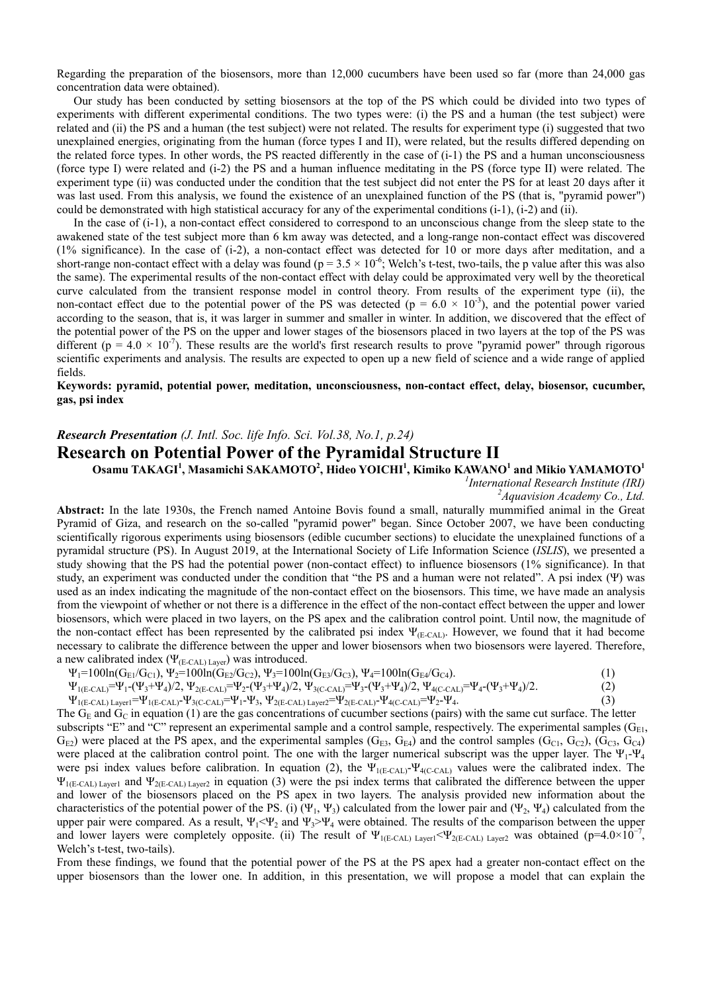Regarding the preparation of the biosensors, more than 12,000 cucumbers have been used so far (more than 24,000 gas concentration data were obtained).

Our study has been conducted by setting biosensors at the top of the PS which could be divided into two types of experiments with different experimental conditions. The two types were: (i) the PS and a human (the test subject) were related and (ii) the PS and a human (the test subject) were not related. The results for experiment type (i) suggested that two unexplained energies, originating from the human (force types I and II), were related, but the results differed depending on the related force types. In other words, the PS reacted differently in the case of (i-1) the PS and a human unconsciousness (force type I) were related and (i-2) the PS and a human influence meditating in the PS (force type II) were related. The experiment type (ii) was conducted under the condition that the test subject did not enter the PS for at least 20 days after it was last used. From this analysis, we found the existence of an unexplained function of the PS (that is, "pyramid power") could be demonstrated with high statistical accuracy for any of the experimental conditions (i-1), (i-2) and (ii).

In the case of (i-1), a non-contact effect considered to correspond to an unconscious change from the sleep state to the awakened state of the test subject more than 6 km away was detected, and a long-range non-contact effect was discovered (1% significance). In the case of (i-2), a non-contact effect was detected for 10 or more days after meditation, and a short-range non-contact effect with a delay was found ( $p = 3.5 \times 10^{-6}$ ; Welch's t-test, two-tails, the p value after this was also the same). The experimental results of the non-contact effect with delay could be approximated very well by the theoretical curve calculated from the transient response model in control theory. From results of the experiment type (ii), the non-contact effect due to the potential power of the PS was detected ( $p = 6.0 \times 10^{-3}$ ), and the potential power varied according to the season, that is, it was larger in summer and smaller in winter. In addition, we discovered that the effect of the potential power of the PS on the upper and lower stages of the biosensors placed in two layers at the top of the PS was different ( $p = 4.0 \times 10^{-7}$ ). These results are the world's first research results to prove "pyramid power" through rigorous scientific experiments and analysis. The results are expected to open up a new field of science and a wide range of applied fields.

#### **Keywords: pyramid, potential power, meditation, unconsciousness, non-contact effect, delay, biosensor, cucumber, gas, psi index**

#### *Research Presentation (J. Intl. Soc. life Info. Sci. Vol.38, No.1, p.24)*

### **Research on Potential Power of the Pyramidal Structure II**

### Osamu TAKAGI<sup>1</sup>, Masamichi SAKAMOTO<sup>2</sup>, Hideo YOICHI<sup>1</sup>, Kimiko KAWANO<sup>1</sup> and Mikio YAMAMOTO<sup>1</sup>

*1 International Research Institute (IRI) 2*

*Aquavision Academy Co., Ltd.* 

**Abstract:** In the late 1930s, the French named Antoine Bovis found a small, naturally mummified animal in the Great Pyramid of Giza, and research on the so-called "pyramid power" began. Since October 2007, we have been conducting scientifically rigorous experiments using biosensors (edible cucumber sections) to elucidate the unexplained functions of a pyramidal structure (PS). In August 2019, at the International Society of Life Information Science (*ISLIS*), we presented a study showing that the PS had the potential power (non-contact effect) to influence biosensors (1% significance). In that study, an experiment was conducted under the condition that "the PS and a human were not related". A psi index (Ψ) was used as an index indicating the magnitude of the non-contact effect on the biosensors. This time, we have made an analysis from the viewpoint of whether or not there is a difference in the effect of the non-contact effect between the upper and lower biosensors, which were placed in two layers, on the PS apex and the calibration control point. Until now, the magnitude of the non-contact effect has been represented by the calibrated psi index  $\Psi_{(E\text{-CAL})}$ . However, we found that it had become necessary to calibrate the difference between the upper and lower biosensors when two biosensors were layered. Therefore, a new calibrated index  $(\Psi_{(E\text{-CAL})\,Layer})$  was introduced.

 $\Psi_1=100\ln(G_{E1}/G_{C1}), \Psi_2=100\ln(G_{E2}/G_{C2}), \Psi_3=100\ln(G_{E3}/G_{C3}), \Psi_4=100\ln(G_{E4}/G_{C4}).$  (1)

$$
\Psi_{1(E\text{-CAL)}} = \Psi_1 - (\Psi_3 + \Psi_4)/2, \ \Psi_{2(E\text{-CAL)}} = \Psi_2 - (\Psi_3 + \Psi_4)/2, \ \Psi_{3(C\text{-CAL)}} = \Psi_3 - (\Psi_3 + \Psi_4)/2, \ \Psi_{4(C\text{-CAL)}} = \Psi_4 - (\Psi_3 + \Psi_4)/2. \tag{2}
$$

$$
\Psi_{1(E\text{-CAL)}\text{-}layer1} = \Psi_{1(E\text{-CAL)}\text{-}}\Psi_{3(C\text{-CAL)}\text{-}}\Psi_1\text{-}\Psi_3, \Psi_{2(E\text{-CAL)}\text{-}layer2} = \Psi_{2(E\text{-CAL)}\text{-}}\Psi_{4(C\text{-CAL)}\text{-}}\Psi_2\text{-}\Psi_4. \tag{3}
$$

The  $G_E$  and  $G_C$  in equation (1) are the gas concentrations of cucumber sections (pairs) with the same cut surface. The letter subscripts "E" and "C" represent an experimental sample and a control sample, respectively. The experimental samples ( $G_{E1}$ ,  $G_{E2}$ ) were placed at the PS apex, and the experimental samples ( $G_{E3}$ ,  $G_{E4}$ ) and the control samples ( $G_{C1}$ ,  $G_{C2}$ ), ( $G_{C3}$ ,  $G_{C4}$ ) were placed at the calibration control point. The one with the larger numerical subscript was the upper layer. The  $\Psi_1$ - $\Psi_4$ were psi index values before calibration. In equation (2), the  $\Psi_{1(E\text{-CAL})} - \Psi_{4(C\text{-CAL})}$  values were the calibrated index. The  $\Psi_{I(E\text{-CAL})\text{Layer}}$  and  $\Psi_{2(E\text{-CAL})\text{Layer}}$  in equation (3) were the psi index terms that calibrated the difference between the upper and lower of the biosensors placed on the PS apex in two layers. The analysis provided new information about the characteristics of the potential power of the PS. (i) (Ψ<sub>1</sub>, Ψ<sub>3</sub>) calculated from the lower pair and (Ψ<sub>2</sub>, Ψ<sub>4</sub>) calculated from the upper pair were compared. As a result,  $\Psi_1 < \Psi_2$  and  $\Psi_3 > \Psi_4$  were obtained. The results of the comparison between the upper and lower layers were completely opposite. (ii) The result of  $\Psi_{\text{I(E-CAL)}}$  Layer1 $\langle \Psi_{\text{2(E-CAL)}} \rangle$  Layer2 was obtained (p=4.0×10<sup>-7</sup>, Welch's t-test, two-tails).

From these findings, we found that the potential power of the PS at the PS apex had a greater non-contact effect on the upper biosensors than the lower one. In addition, in this presentation, we will propose a model that can explain the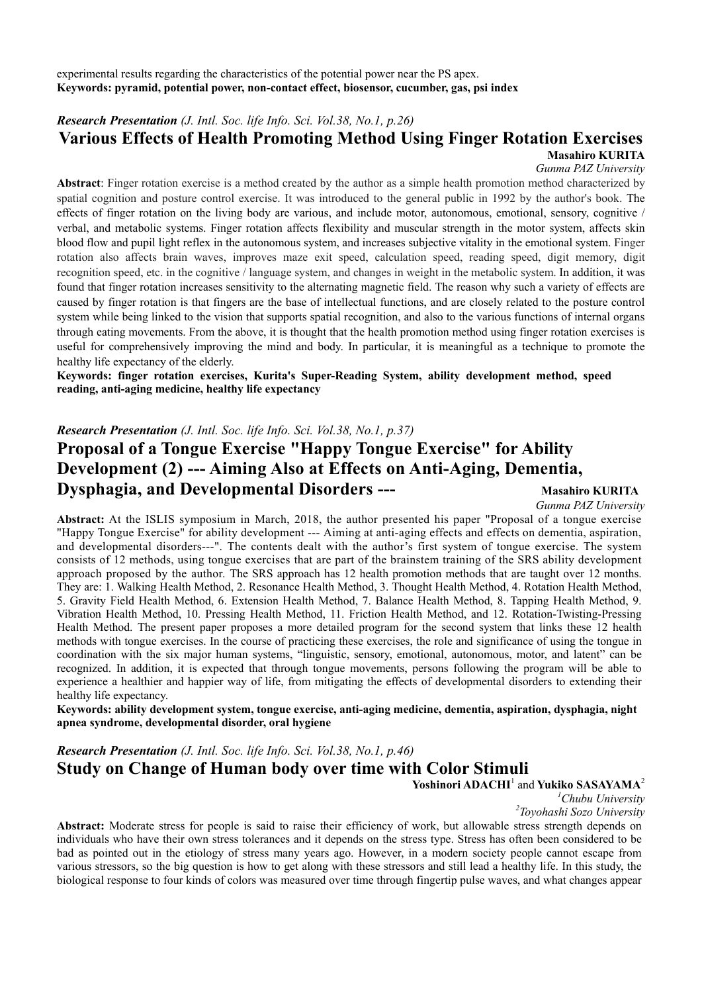experimental results regarding the characteristics of the potential power near the PS apex. **Keywords: pyramid, potential power, non-contact effect, biosensor, cucumber, gas, psi index** 

## *Research Presentation (J. Intl. Soc. life Info. Sci. Vol.38, No.1, p.26)*

## **Various Effects of Health Promoting Method Using Finger Rotation Exercises Masahiro KURITA**

*Gunma PAZ University* 

**Abstract**: Finger rotation exercise is a method created by the author as a simple health promotion method characterized by spatial cognition and posture control exercise. It was introduced to the general public in 1992 by the author's book. The effects of finger rotation on the living body are various, and include motor, autonomous, emotional, sensory, cognitive / verbal, and metabolic systems. Finger rotation affects flexibility and muscular strength in the motor system, affects skin blood flow and pupil light reflex in the autonomous system, and increases subjective vitality in the emotional system. Finger rotation also affects brain waves, improves maze exit speed, calculation speed, reading speed, digit memory, digit recognition speed, etc. in the cognitive / language system, and changes in weight in the metabolic system. In addition, it was found that finger rotation increases sensitivity to the alternating magnetic field. The reason why such a variety of effects are caused by finger rotation is that fingers are the base of intellectual functions, and are closely related to the posture control system while being linked to the vision that supports spatial recognition, and also to the various functions of internal organs through eating movements. From the above, it is thought that the health promotion method using finger rotation exercises is useful for comprehensively improving the mind and body. In particular, it is meaningful as a technique to promote the healthy life expectancy of the elderly.

**Keywords: finger rotation exercises, Kurita's Super-Reading System, ability development method, speed reading, anti-aging medicine, healthy life expectancy** 

#### *Research Presentation (J. Intl. Soc. life Info. Sci. Vol.38, No.1, p.37)*

# **Proposal of a Tongue Exercise "Happy Tongue Exercise" for Ability Development (2) --- Aiming Also at Effects on Anti-Aging, Dementia, Dysphagia, and Developmental Disorders ---** Masahiro KURITA

*Gunma PAZ University*

**Abstract:** At the ISLIS symposium in March, 2018, the author presented his paper "Proposal of a tongue exercise "Happy Tongue Exercise" for ability development --- Aiming at anti-aging effects and effects on dementia, aspiration, and developmental disorders---". The contents dealt with the author's first system of tongue exercise. The system consists of 12 methods, using tongue exercises that are part of the brainstem training of the SRS ability development approach proposed by the author. The SRS approach has 12 health promotion methods that are taught over 12 months. They are: 1. Walking Health Method, 2. Resonance Health Method, 3. Thought Health Method, 4. Rotation Health Method, 5. Gravity Field Health Method, 6. Extension Health Method, 7. Balance Health Method, 8. Tapping Health Method, 9. Vibration Health Method, 10. Pressing Health Method, 11. Friction Health Method, and 12. Rotation-Twisting-Pressing Health Method. The present paper proposes a more detailed program for the second system that links these 12 health methods with tongue exercises. In the course of practicing these exercises, the role and significance of using the tongue in coordination with the six major human systems, "linguistic, sensory, emotional, autonomous, motor, and latent" can be recognized. In addition, it is expected that through tongue movements, persons following the program will be able to experience a healthier and happier way of life, from mitigating the effects of developmental disorders to extending their healthy life expectancy.

**Keywords: ability development system, tongue exercise, anti-aging medicine, dementia, aspiration, dysphagia, night apnea syndrome, developmental disorder, oral hygiene** 

*Research Presentation (J. Intl. Soc. life Info. Sci. Vol.38, No.1, p.46)* **Study on Change of Human body over time with Color Stimuli** 

Yoshinori ADACHI<sup>1</sup> and Yukiko SASAYAMA<sup>2</sup>

<sup>1</sup>Chubu University

*Chubu University 2 Toyohashi Sozo University* 

**Abstract:** Moderate stress for people is said to raise their efficiency of work, but allowable stress strength depends on individuals who have their own stress tolerances and it depends on the stress type. Stress has often been considered to be bad as pointed out in the etiology of stress many years ago. However, in a modern society people cannot escape from various stressors, so the big question is how to get along with these stressors and still lead a healthy life. In this study, the biological response to four kinds of colors was measured over time through fingertip pulse waves, and what changes appear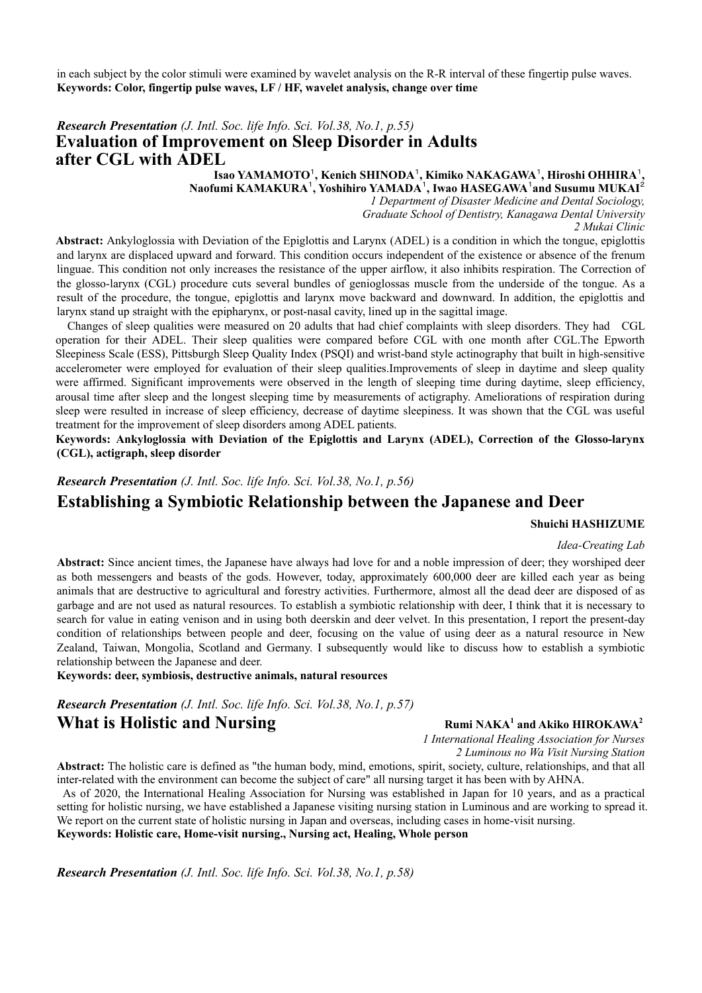in each subject by the color stimuli were examined by wavelet analysis on the R-R interval of these fingertip pulse waves. **Keywords: Color, fingertip pulse waves, LF / HF, wavelet analysis, change over time** 

## *Research Presentation (J. Intl. Soc. life Info. Sci. Vol.38, No.1, p.55)* **Evaluation of Improvement on Sleep Disorder in Adults after CGL with ADEL**

 **Isao YAMAMOTO**<sup>1</sup>**, Kenich SHINODA**<sup>1</sup>**, Kimiko NAKAGAWA**<sup>1</sup>**, Hiroshi OHHIRA**<sup>1</sup>**, Naofumi KAMAKURA**<sup>1</sup>**, Yoshihiro YAMADA**<sup>1</sup>**, Iwao HASEGAWA**<sup>1</sup> **and Susumu MUKAI**<sup>2</sup>

*1 Department of Disaster Medicine and Dental Sociology, Graduate School of Dentistry, Kanagawa Dental University 2 Mukai Clinic* 

**Abstract:** Ankyloglossia with Deviation of the Epiglottis and Larynx (ADEL) is a condition in which the tongue, epiglottis and larynx are displaced upward and forward. This condition occurs independent of the existence or absence of the frenum linguae. This condition not only increases the resistance of the upper airflow, it also inhibits respiration. The Correction of the glosso-larynx (CGL) procedure cuts several bundles of genioglossas muscle from the underside of the tongue. As a result of the procedure, the tongue, epiglottis and larynx move backward and downward. In addition, the epiglottis and larynx stand up straight with the epipharynx, or post-nasal cavity, lined up in the sagittal image.

Changes of sleep qualities were measured on 20 adults that had chief complaints with sleep disorders. They had CGL operation for their ADEL. Their sleep qualities were compared before CGL with one month after CGL.The Epworth Sleepiness Scale (ESS), Pittsburgh Sleep Quality Index (PSQI) and wrist-band style actinography that built in high-sensitive accelerometer were employed for evaluation of their sleep qualities.Improvements of sleep in daytime and sleep quality were affirmed. Significant improvements were observed in the length of sleeping time during daytime, sleep efficiency, arousal time after sleep and the longest sleeping time by measurements of actigraphy. Ameliorations of respiration during sleep were resulted in increase of sleep efficiency, decrease of daytime sleepiness. It was shown that the CGL was useful treatment for the improvement of sleep disorders among ADEL patients.

**Keywords: Ankyloglossia with Deviation of the Epiglottis and Larynx (ADEL), Correction of the Glosso-larynx (CGL), actigraph, sleep disorder** 

*Research Presentation (J. Intl. Soc. life Info. Sci. Vol.38, No.1, p.56)*

## **Establishing a Symbiotic Relationship between the Japanese and Deer**

#### **Shuichi HASHIZUME**

#### *Idea-Creating Lab*

**Abstract:** Since ancient times, the Japanese have always had love for and a noble impression of deer; they worshiped deer as both messengers and beasts of the gods. However, today, approximately 600,000 deer are killed each year as being animals that are destructive to agricultural and forestry activities. Furthermore, almost all the dead deer are disposed of as garbage and are not used as natural resources. To establish a symbiotic relationship with deer, I think that it is necessary to search for value in eating venison and in using both deerskin and deer velvet. In this presentation, I report the present-day condition of relationships between people and deer, focusing on the value of using deer as a natural resource in New Zealand, Taiwan, Mongolia, Scotland and Germany. I subsequently would like to discuss how to establish a symbiotic relationship between the Japanese and deer.

**Keywords: deer, symbiosis, destructive animals, natural resources** 

*Research Presentation (J. Intl. Soc. life Info. Sci. Vol.38, No.1, p.57)*

## **What is Holistic and Nursing**

**Rumi NAKA<sup>1</sup> and Akiko HIROKAWA<sup>2</sup>** 

*1 International Healing Association for Nurses 2 Luminous no Wa Visit Nursing Station* 

**Abstract:** The holistic care is defined as "the human body, mind, emotions, spirit, society, culture, relationships, and that all inter-related with the environment can become the subject of care" all nursing target it has been with by AHNA.

 As of 2020, the International Healing Association for Nursing was established in Japan for 10 years, and as a practical setting for holistic nursing, we have established a Japanese visiting nursing station in Luminous and are working to spread it. We report on the current state of holistic nursing in Japan and overseas, including cases in home-visit nursing. **Keywords: Holistic care, Home-visit nursing., Nursing act, Healing, Whole person** 

*Research Presentation (J. Intl. Soc. life Info. Sci. Vol.38, No.1, p.58)*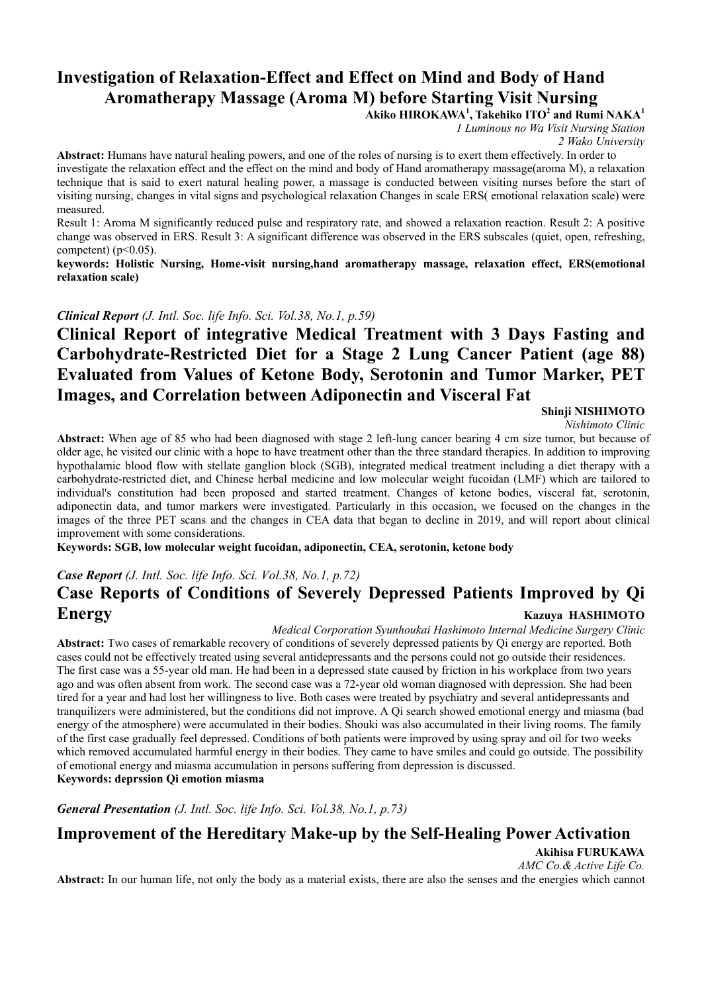# **Investigation of Relaxation-Effect and Effect on Mind and Body of Hand Aromatherapy Massage (Aroma M) before Starting Visit Nursing**

**Akiko HIROKAWA<sup>1</sup> , Takehiko ITO<sup>2</sup> and Rumi NAKA<sup>1</sup>**

*1 Luminous no Wa Visit Nursing Station* 

*2 Wako University* 

**Abstract:** Humans have natural healing powers, and one of the roles of nursing is to exert them effectively. In order to investigate the relaxation effect and the effect on the mind and body of Hand aromatherapy massage(aroma M), a relaxation technique that is said to exert natural healing power, a massage is conducted between visiting nurses before the start of visiting nursing, changes in vital signs and psychological relaxation Changes in scale ERS( emotional relaxation scale) were measured.

Result 1: Aroma M significantly reduced pulse and respiratory rate, and showed a relaxation reaction. Result 2: A positive change was observed in ERS. Result 3: A significant difference was observed in the ERS subscales (quiet, open, refreshing, competent) ( $p<0.05$ ).

**keywords: Holistic Nursing, Home-visit nursing,hand aromatherapy massage, relaxation effect, ERS(emotional relaxation scale)** 

*Clinical Report (J. Intl. Soc. life Info. Sci. Vol.38, No.1, p.59)*

# **Clinical Report of integrative Medical Treatment with 3 Days Fasting and Carbohydrate-Restricted Diet for a Stage 2 Lung Cancer Patient (age 88) Evaluated from Values of Ketone Body, Serotonin and Tumor Marker, PET Images, and Correlation between Adiponectin and Visceral Fat**

**Shinji NISHIMOTO**

*Nishimoto Clinic*

**Abstract:** When age of 85 who had been diagnosed with stage 2 left-lung cancer bearing 4 cm size tumor, but because of older age, he visited our clinic with a hope to have treatment other than the three standard therapies. In addition to improving hypothalamic blood flow with stellate ganglion block (SGB), integrated medical treatment including a diet therapy with a carbohydrate-restricted diet, and Chinese herbal medicine and low molecular weight fucoidan (LMF) which are tailored to individual's constitution had been proposed and started treatment. Changes of ketone bodies, visceral fat, serotonin, adiponectin data, and tumor markers were investigated. Particularly in this occasion, we focused on the changes in the images of the three PET scans and the changes in CEA data that began to decline in 2019, and will report about clinical improvement with some considerations.

**Keywords: SGB, low molecular weight fucoidan, adiponectin, CEA, serotonin, ketone body** 

# *Case Report (J. Intl. Soc. life Info. Sci. Vol.38, No.1, p.72)* **Case Reports of Conditions of Severely Depressed Patients Improved by Qi Energy** Kazuya HASHIMOTO

*Medical Corporation Syunhoukai Hashimoto Internal Medicine Surgery Clinic* 

**Abstract:** Two cases of remarkable recovery of conditions of severely depressed patients by Qi energy are reported. Both cases could not be effectively treated using several antidepressants and the persons could not go outside their residences. The first case was a 55-year old man. He had been in a depressed state caused by friction in his workplace from two years ago and was often absent from work. The second case was a 72-year old woman diagnosed with depression. She had been tired for a year and had lost her willingness to live. Both cases were treated by psychiatry and several antidepressants and tranquilizers were administered, but the conditions did not improve. A Qi search showed emotional energy and miasma (bad energy of the atmosphere) were accumulated in their bodies. Shouki was also accumulated in their living rooms. The family of the first case gradually feel depressed. Conditions of both patients were improved by using spray and oil for two weeks which removed accumulated harmful energy in their bodies. They came to have smiles and could go outside. The possibility of emotional energy and miasma accumulation in persons suffering from depression is discussed.

**Keywords: deprssion Qi emotion miasma** 

*General Presentation (J. Intl. Soc. life Info. Sci. Vol.38, No.1, p.73)*

# **Improvement of the Hereditary Make-up by the Self-Healing Power Activation**

**Akihisa FURUKAWA** 

*AMC Co.& Active Life Co.* 

**Abstract:** In our human life, not only the body as a material exists, there are also the senses and the energies which cannot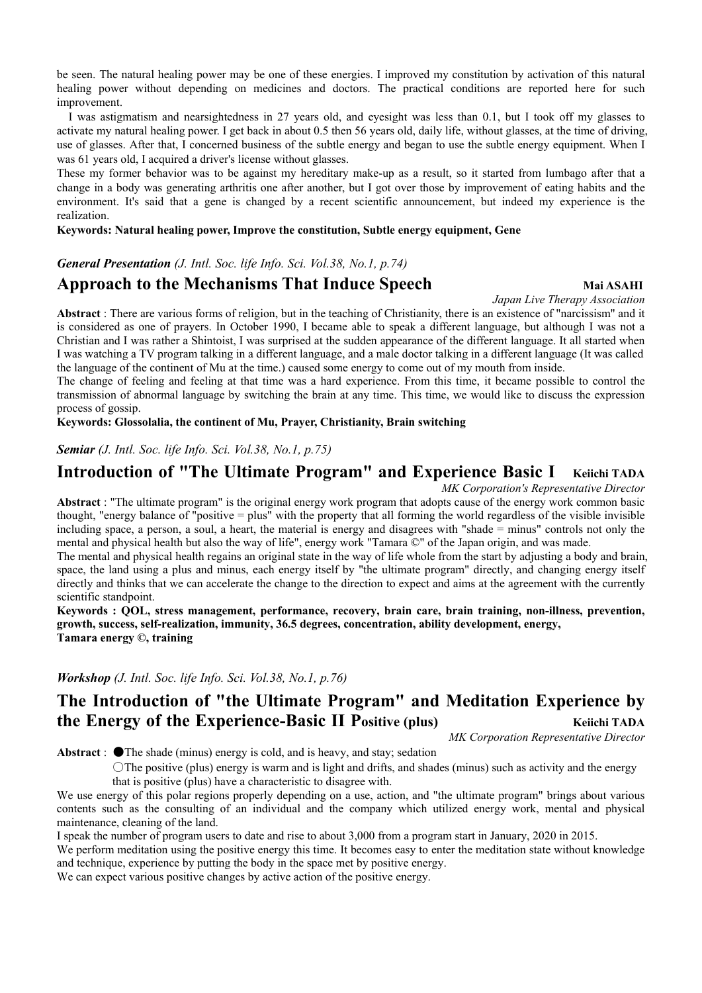be seen. The natural healing power may be one of these energies. I improved my constitution by activation of this natural healing power without depending on medicines and doctors. The practical conditions are reported here for such improvement.

 I was astigmatism and nearsightedness in 27 years old, and eyesight was less than 0.1, but I took off my glasses to activate my natural healing power. I get back in about 0.5 then 56 years old, daily life, without glasses, at the time of driving, use of glasses. After that, I concerned business of the subtle energy and began to use the subtle energy equipment. When I was 61 years old, I acquired a driver's license without glasses.

These my former behavior was to be against my hereditary make-up as a result, so it started from lumbago after that a change in a body was generating arthritis one after another, but I got over those by improvement of eating habits and the environment. It's said that a gene is changed by a recent scientific announcement, but indeed my experience is the realization.

#### **Keywords: Natural healing power, Improve the constitution, Subtle energy equipment, Gene**

## *General Presentation (J. Intl. Soc. life Info. Sci. Vol.38, No.1, p.74)*

## **Approach to the Mechanisms That Induce Speech Mai ASAHI Mai ASAHI**

#### *Japan Live Therapy Association*

**Abstract** : There are various forms of religion, but in the teaching of Christianity, there is an existence of "narcissism" and it is considered as one of prayers. In October 1990, I became able to speak a different language, but although I was not a Christian and I was rather a Shintoist, I was surprised at the sudden appearance of the different language. It all started when I was watching a TV program talking in a different language, and a male doctor talking in a different language (It was called the language of the continent of Mu at the time.) caused some energy to come out of my mouth from inside.

The change of feeling and feeling at that time was a hard experience. From this time, it became possible to control the transmission of abnormal language by switching the brain at any time. This time, we would like to discuss the expression process of gossip.

**Keywords: Glossolalia, the continent of Mu, Prayer, Christianity, Brain switching** 

#### *Semiar (J. Intl. Soc. life Info. Sci. Vol.38, No.1, p.75)*

## **Introduction of "The Ultimate Program" and Experience Basic I Keiichi TADA**

*MK Corporation's Representative Director*

**Abstract** : "The ultimate program" is the original energy work program that adopts cause of the energy work common basic thought, "energy balance of "positive = plus" with the property that all forming the world regardless of the visible invisible including space, a person, a soul, a heart, the material is energy and disagrees with "shade = minus" controls not only the mental and physical health but also the way of life", energy work "Tamara ©" of the Japan origin, and was made.

The mental and physical health regains an original state in the way of life whole from the start by adjusting a body and brain, space, the land using a plus and minus, each energy itself by "the ultimate program" directly, and changing energy itself directly and thinks that we can accelerate the change to the direction to expect and aims at the agreement with the currently scientific standpoint.

**Keywords : QOL, stress management, performance, recovery, brain care, brain training, non-illness, prevention, growth, success, self-realization, immunity, 36.5 degrees, concentration, ability development, energy, Tamara energy ©, training** 

*Workshop (J. Intl. Soc. life Info. Sci. Vol.38, No.1, p.76)*

# **The Introduction of "the Ultimate Program" and Meditation Experience by the Energy of the Experience-Basic II Positive (plus)** Keiichi TADA

*MK Corporation Representative Director* 

Abstract : ●The shade (minus) energy is cold, and is heavy, and stay; sedation

〇The positive (plus) energy is warm and is light and drifts, and shades (minus) such as activity and the energy that is positive (plus) have a characteristic to disagree with.

We use energy of this polar regions properly depending on a use, action, and "the ultimate program" brings about various contents such as the consulting of an individual and the company which utilized energy work, mental and physical maintenance, cleaning of the land.

I speak the number of program users to date and rise to about 3,000 from a program start in January, 2020 in 2015.

We perform meditation using the positive energy this time. It becomes easy to enter the meditation state without knowledge and technique, experience by putting the body in the space met by positive energy.

We can expect various positive changes by active action of the positive energy.